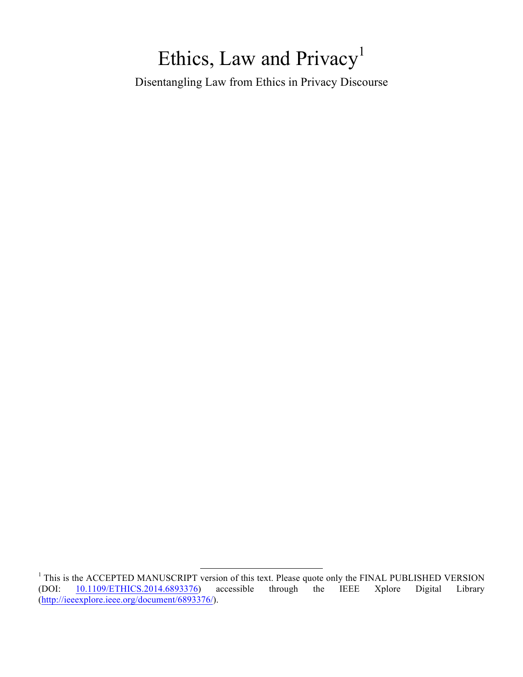# Ethics, Law and Privacy<sup>1</sup>

Disentangling Law from Ethics in Privacy Discourse

<sup>&</sup>lt;sup>1</sup> This is the ACCEPTED MANUSCRIPT version of this text. Please quote only the FINAL PUBLISHED VERSION (DOI:  $10.1109/ETHICS.2014.6893376$ ) accessible through the IEEE Xplore Digital Library 10.1109/ETHICS.2014.6893376) (http://ieeexplore.ieee.org/document/6893376/).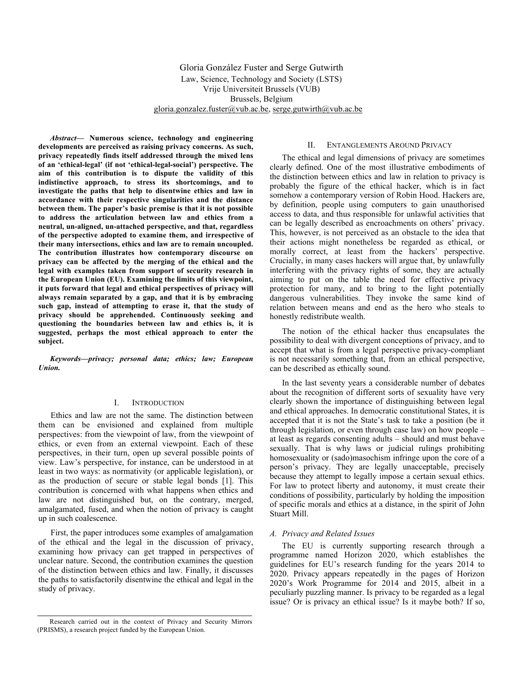Gloria González Fuster and Serge Gutwirth Law, Science, Technology and Society (LSTS) Vrije Universiteit Brussels (VUB) Brussels, Belgium gloria.gonzalez.fuster@vub.ac.be, serge.gutwirth@vub.ac.be

*Abstract***— Numerous science, technology and engineering developments are perceived as raising privacy concerns. As such, privacy repeatedly finds itself addressed through the mixed lens of an 'ethical-legal' (if not 'ethical-legal-social') perspective. The aim of this contribution is to dispute the validity of this indistinctive approach, to stress its shortcomings, and to investigate the paths that help to disentwine ethics and law in accordance with their respective singularities and the distance between them. The paper's basic premise is that it is not possible to address the articulation between law and ethics from a neutral, un-aligned, un-attached perspective, and that, regardless of the perspective adopted to examine them, and irrespective of their many intersections, ethics and law are to remain uncoupled. The contribution illustrates how contemporary discourse on privacy can be affected by the merging of the ethical and the legal with examples taken from support of security research in the European Union (EU). Examining the limits of this viewpoint, it puts forward that legal and ethical perspectives of privacy will always remain separated by a gap, and that it is by embracing such gap, instead of attempting to erase it, that the study of privacy should be apprehended. Continuously seeking and questioning the boundaries between law and ethics is, it is suggested, perhaps the most ethical approach to enter the subject.**

*Keywords—privacy; personal data; ethics; law; European Union.* 

### I. INTRODUCTION

Ethics and law are not the same. The distinction between them can be envisioned and explained from multiple perspectives: from the viewpoint of law, from the viewpoint of ethics, or even from an external viewpoint. Each of these perspectives, in their turn, open up several possible points of view. Law's perspective, for instance, can be understood in at least in two ways: as normativity (or applicable legislation), or as the production of secure or stable legal bonds [1]. This contribution is concerned with what happens when ethics and law are not distinguished but, on the contrary, merged, amalgamated, fused, and when the notion of privacy is caught up in such coalescence.

First, the paper introduces some examples of amalgamation of the ethical and the legal in the discussion of privacy, examining how privacy can get trapped in perspectives of unclear nature. Second, the contribution examines the question of the distinction between ethics and law. Finally, it discusses the paths to satisfactorily disentwine the ethical and legal in the study of privacy.

#### II. ENTANGLEMENTS AROUND PRIVACY

The ethical and legal dimensions of privacy are sometimes clearly defined. One of the most illustrative embodiments of the distinction between ethics and law in relation to privacy is probably the figure of the ethical hacker, which is in fact somehow a contemporary version of Robin Hood. Hackers are, by definition, people using computers to gain unauthorised access to data, and thus responsible for unlawful activities that can be legally described as encroachments on others' privacy. This, however, is not perceived as an obstacle to the idea that their actions might nonetheless be regarded as ethical, or morally correct, at least from the hackers' perspective. Crucially, in many cases hackers will argue that, by unlawfully interfering with the privacy rights of some, they are actually aiming to put on the table the need for effective privacy protection for many, and to bring to the light potentially dangerous vulnerabilities. They invoke the same kind of relation between means and end as the hero who steals to honestly redistribute wealth.

The notion of the ethical hacker thus encapsulates the possibility to deal with divergent conceptions of privacy, and to accept that what is from a legal perspective privacy-compliant is not necessarily something that, from an ethical perspective, can be described as ethically sound.

In the last seventy years a considerable number of debates about the recognition of different sorts of sexuality have very clearly shown the importance of distinguishing between legal and ethical approaches. In democratic constitutional States, it is accepted that it is not the State's task to take a position (be it through legislation, or even through case law) on how people – at least as regards consenting adults – should and must behave sexually. That is why laws or judicial rulings prohibiting homosexuality or (sado)masochism infringe upon the core of a person's privacy. They are legally unacceptable, precisely because they attempt to legally impose a certain sexual ethics. For law to protect liberty and autonomy, it must create their conditions of possibility, particularly by holding the imposition of specific morals and ethics at a distance, in the spirit of John Stuart Mill.

#### *A. Privacy and Related Issues*

The EU is currently supporting research through a programme named Horizon 2020, which establishes the guidelines for EU's research funding for the years 2014 to 2020. Privacy appears repeatedly in the pages of Horizon 2020's Work Programme for 2014 and 2015, albeit in a peculiarly puzzling manner. Is privacy to be regarded as a legal issue? Or is privacy an ethical issue? Is it maybe both? If so,

Research carried out in the context of Privacy and Security Mirrors (PRISMS), a research project funded by the European Union.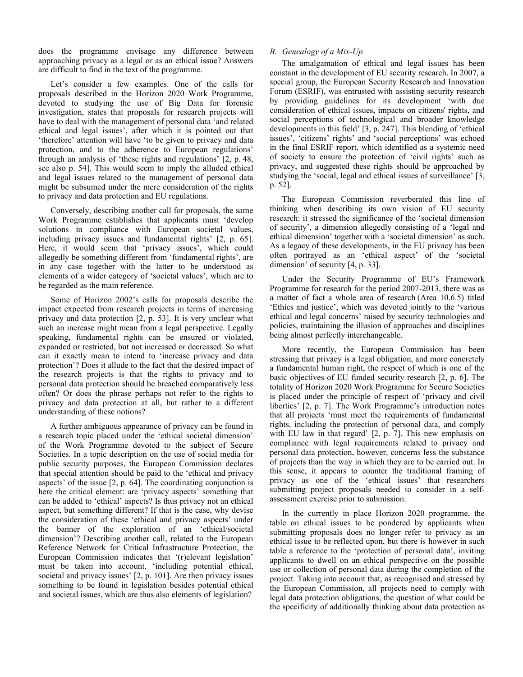does the programme envisage any difference between approaching privacy as a legal or as an ethical issue? Answers are difficult to find in the text of the programme.

Let's consider a few examples. One of the calls for proposals described in the Horizon 2020 Work Programme, devoted to studying the use of Big Data for forensic investigation, states that proposals for research projects will have to deal with the management of personal data 'and related ethical and legal issues', after which it is pointed out that 'therefore' attention will have 'to be given to privacy and data protection, and to the adherence to European regulations' through an analysis of 'these rights and regulations' [2, p. 48, see also p. 54]. This would seem to imply the alluded ethical and legal issues related to the management of personal data might be subsumed under the mere consideration of the rights to privacy and data protection and EU regulations.

Conversely, describing another call for proposals, the same Work Programme establishes that applicants must 'develop solutions in compliance with European societal values, including privacy issues and fundamental rights' [2, p. 65]. Here, it would seem that 'privacy issues', which could allegedly be something different from 'fundamental rights', are in any case together with the latter to be understood as elements of a wider category of 'societal values', which are to be regarded as the main reference.

Some of Horizon 2002's calls for proposals describe the impact expected from research projects in terms of increasing privacy and data protection [2, p. 53]. It is very unclear what such an increase might mean from a legal perspective. Legally speaking, fundamental rights can be ensured or violated, expanded or restricted, but not increased or decreased. So what can it exactly mean to intend to 'increase privacy and data protection'? Does it allude to the fact that the desired impact of the research projects is that the rights to privacy and to personal data protection should be breached comparatively less often? Or does the phrase perhaps not refer to the rights to privacy and data protection at all, but rather to a different understanding of these notions?

A further ambiguous appearance of privacy can be found in a research topic placed under the 'ethical societal dimension' of the Work Programme devoted to the subject of Secure Societies. In a topic description on the use of social media for public security purposes, the European Commission declares that special attention should be paid to the 'ethical and privacy aspects' of the issue [2, p. 64]. The coordinating conjunction is here the critical element: are 'privacy aspects' something that can be added to 'ethical' aspects? Is thus privacy not an ethical aspect, but something different? If that is the case, why devise the consideration of these 'ethical and privacy aspects' under the banner of the exploration of an 'ethical/societal dimension'? Describing another call, related to the European Reference Network for Critical Infrastructure Protection, the European Commission indicates that '(r)elevant legislation' must be taken into account, 'including potential ethical, societal and privacy issues' [2, p. 101]. Are then privacy issues something to be found in legislation besides potential ethical and societal issues, which are thus also elements of legislation?

## *B. Genealogy of a Mix-Up*

The amalgamation of ethical and legal issues has been constant in the development of EU security research. In 2007, a special group, the European Security Research and Innovation Forum (ESRIF), was entrusted with assisting security research by providing guidelines for its development 'with due consideration of ethical issues, impacts on citizens' rights, and social perceptions of technological and broader knowledge developments in this field' [3, p. 247]. This blending of 'ethical issues', 'citizens' rights' and 'social perceptions' was echoed in the final ESRIF report, which identified as a systemic need of society to ensure the protection of 'civil rights' such as privacy, and suggested these rights should be approached by studying the 'social, legal and ethical issues of surveillance' [3, p. 52].

The European Commission reverberated this line of thinking when describing its own vision of EU security research: it stressed the significance of the 'societal dimension of security', a dimension allegedly consisting of a 'legal and ethical dimension' together with a 'societal dimension' as such. As a legacy of these developments, in the EU privacy has been often portrayed as an 'ethical aspect' of the 'societal dimension' of security [4, p. 33].

Under the Security Programme of EU's Framework Programme for research for the period 2007-2013, there was as a matter of fact a whole area of research (Area 10.6.5) titled 'Ethics and justice', which was devoted jointly to the 'various ethical and legal concerns' raised by security technologies and policies, maintaining the illusion of approaches and disciplines being almost perfectly interchangeable.

More recently, the European Commission has been stressing that privacy is a legal obligation, and more concretely a fundamental human right, the respect of which is one of the basic objectives of EU funded security research [2, p. 6]. The totality of Horizon 2020 Work Programme for Secure Societies is placed under the principle of respect of 'privacy and civil liberties' [2, p. 7]. The Work Programme's introduction notes that all projects 'must meet the requirements of fundamental rights, including the protection of personal data, and comply with EU law in that regard' [2, p. 7]. This new emphasis on compliance with legal requirements related to privacy and personal data protection, however, concerns less the substance of projects than the way in which they are to be carried out. In this sense, it appears to counter the traditional framing of privacy as one of the 'ethical issues' that researchers submitting project proposals needed to consider in a selfassessment exercise prior to submission.

In the currently in place Horizon 2020 programme, the table on ethical issues to be pondered by applicants when submitting proposals does no longer refer to privacy as an ethical issue to be reflected upon, but there is however in such table a reference to the 'protection of personal data', inviting applicants to dwell on an ethical perspective on the possible use or collection of personal data during the completion of the project. Taking into account that, as recognised and stressed by the European Commission, all projects need to comply with legal data protection obligations, the question of what could be the specificity of additionally thinking about data protection as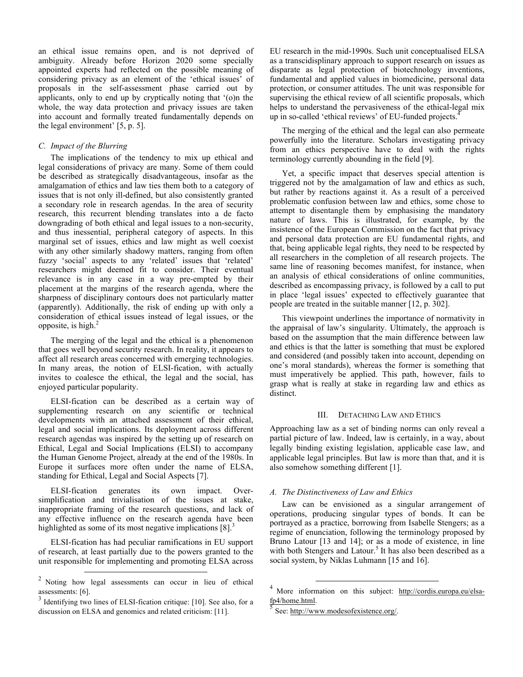an ethical issue remains open, and is not deprived of ambiguity. Already before Horizon 2020 some specially appointed experts had reflected on the possible meaning of considering privacy as an element of the 'ethical issues' of proposals in the self-assessment phase carried out by applicants, only to end up by cryptically noting that '(o)n the whole, the way data protection and privacy issues are taken into account and formally treated fundamentally depends on the legal environment' [5, p. 5].

## *C. Impact of the Blurring*

The implications of the tendency to mix up ethical and legal considerations of privacy are many. Some of them could be described as strategically disadvantageous, insofar as the amalgamation of ethics and law ties them both to a category of issues that is not only ill-defined, but also consistently granted a secondary role in research agendas. In the area of security research, this recurrent blending translates into a de facto downgrading of both ethical and legal issues to a non-security, and thus inessential, peripheral category of aspects. In this marginal set of issues, ethics and law might as well coexist with any other similarly shadowy matters, ranging from often fuzzy 'social' aspects to any 'related' issues that 'related' researchers might deemed fit to consider. Their eventual relevance is in any case in a way pre-empted by their placement at the margins of the research agenda, where the sharpness of disciplinary contours does not particularly matter (apparently). Additionally, the risk of ending up with only a consideration of ethical issues instead of legal issues, or the opposite, is high. $<sup>2</sup>$ </sup>

The merging of the legal and the ethical is a phenomenon that goes well beyond security research. In reality, it appears to affect all research areas concerned with emerging technologies. In many areas, the notion of ELSI-fication, with actually invites to coalesce the ethical, the legal and the social, has enjoyed particular popularity.

ELSI-fication can be described as a certain way of supplementing research on any scientific or technical developments with an attached assessment of their ethical, legal and social implications. Its deployment across different research agendas was inspired by the setting up of research on Ethical, Legal and Social Implications (ELSI) to accompany the Human Genome Project, already at the end of the 1980s. In Europe it surfaces more often under the name of ELSA, standing for Ethical, Legal and Social Aspects [7].

ELSI-fication generates its own impact. Oversimplification and trivialisation of the issues at stake, inappropriate framing of the research questions, and lack of any effective influence on the research agenda have been highlighted as some of its most negative implications  $[8]$ .<sup>3</sup>

ELSI-fication has had peculiar ramifications in EU support of research, at least partially due to the powers granted to the unit responsible for implementing and promoting ELSA across

EU research in the mid-1990s. Such unit conceptualised ELSA as a transcidisplinary approach to support research on issues as disparate as legal protection of biotechnology inventions, fundamental and applied values in biomedicine, personal data protection, or consumer attitudes. The unit was responsible for supervising the ethical review of all scientific proposals, which helps to understand the pervasiveness of the ethical-legal mix up in so-called 'ethical reviews' of EU-funded projects.<sup>4</sup>

The merging of the ethical and the legal can also permeate powerfully into the literature. Scholars investigating privacy from an ethics perspective have to deal with the rights terminology currently abounding in the field [9].

Yet, a specific impact that deserves special attention is triggered not by the amalgamation of law and ethics as such, but rather by reactions against it. As a result of a perceived problematic confusion between law and ethics, some chose to attempt to disentangle them by emphasising the mandatory nature of laws. This is illustrated, for example, by the insistence of the European Commission on the fact that privacy and personal data protection are EU fundamental rights, and that, being applicable legal rights, they need to be respected by all researchers in the completion of all research projects. The same line of reasoning becomes manifest, for instance, when an analysis of ethical considerations of online communities, described as encompassing privacy, is followed by a call to put in place 'legal issues' expected to effectively guarantee that people are treated in the suitable manner [12, p. 302].

This viewpoint underlines the importance of normativity in the appraisal of law's singularity. Ultimately, the approach is based on the assumption that the main difference between law and ethics is that the latter is something that must be explored and considered (and possibly taken into account, depending on one's moral standards), whereas the former is something that must imperatively be applied. This path, however, fails to grasp what is really at stake in regarding law and ethics as distinct.

## III. DETACHING LAW AND ETHICS

Approaching law as a set of binding norms can only reveal a partial picture of law. Indeed, law is certainly, in a way, about legally binding existing legislation, applicable case law, and applicable legal principles. But law is more than that, and it is also somehow something different [1].

## *A. The Distinctiveness of Law and Ethics*

Law can be envisioned as a singular arrangement of operations, producing singular types of bonds. It can be portrayed as a practice, borrowing from Isabelle Stengers; as a regime of enunciation, following the terminology proposed by Bruno Latour [13 and 14]; or as a mode of existence, in line with both Stengers and Latour.<sup>5</sup> It has also been described as a social system, by Niklas Luhmann [15 and 16].

 $2$  Noting how legal assessments can occur in lieu of ethical assessments: [6].

Identifying two lines of ELSI-fication critique: [10]. See also, for a discussion on ELSA and genomics and related criticism: [11].

<sup>&</sup>lt;sup>4</sup> More information on this subject: http://cordis.europa.eu/elsa- $\frac{\text{fp4/home.html}}{\text{See: http://www.modesofexistence.org/}}$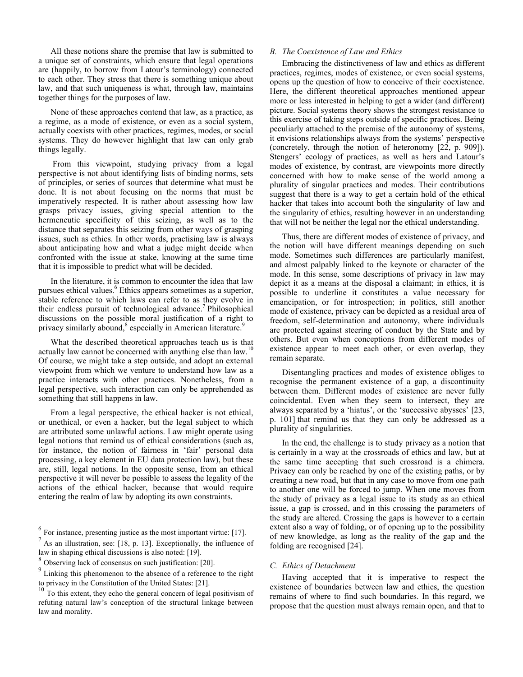All these notions share the premise that law is submitted to a unique set of constraints, which ensure that legal operations are (happily, to borrow from Latour's terminology) connected to each other. They stress that there is something unique about law, and that such uniqueness is what, through law, maintains together things for the purposes of law.

None of these approaches contend that law, as a practice, as a regime, as a mode of existence, or even as a social system, actually coexists with other practices, regimes, modes, or social systems. They do however highlight that law can only grab things legally.

From this viewpoint, studying privacy from a legal perspective is not about identifying lists of binding norms, sets of principles, or series of sources that determine what must be done. It is not about focusing on the norms that must be imperatively respected. It is rather about assessing how law grasps privacy issues, giving special attention to the hermeneutic specificity of this seizing, as well as to the distance that separates this seizing from other ways of grasping issues, such as ethics. In other words, practising law is always about anticipating how and what a judge might decide when confronted with the issue at stake, knowing at the same time that it is impossible to predict what will be decided.

In the literature, it is common to encounter the idea that law pursues ethical values.<sup>6</sup> Ethics appears sometimes as a superior, stable reference to which laws can refer to as they evolve in their endless pursuit of technological advance.<sup>7</sup> Philosophical discussions on the possible moral justification of a right to privacy similarly abound,<sup>8</sup> especially in American literature.<sup>9</sup>

What the described theoretical approaches teach us is that actually law cannot be concerned with anything else than law.<sup>10</sup> Of course, we might take a step outside, and adopt an external viewpoint from which we venture to understand how law as a practice interacts with other practices. Nonetheless, from a legal perspective, such interaction can only be apprehended as something that still happens in law.

From a legal perspective, the ethical hacker is not ethical, or unethical, or even a hacker, but the legal subject to which are attributed some unlawful actions. Law might operate using legal notions that remind us of ethical considerations (such as, for instance, the notion of fairness in 'fair' personal data processing, a key element in EU data protection law), but these are, still, legal notions. In the opposite sense, from an ethical perspective it will never be possible to assess the legality of the actions of the ethical hacker, because that would require entering the realm of law by adopting its own constraints.

## *B. The Coexistence of Law and Ethics*

Embracing the distinctiveness of law and ethics as different practices, regimes, modes of existence, or even social systems, opens up the question of how to conceive of their coexistence. Here, the different theoretical approaches mentioned appear more or less interested in helping to get a wider (and different) picture. Social systems theory shows the strongest resistance to this exercise of taking steps outside of specific practices. Being peculiarly attached to the premise of the autonomy of systems, it envisions relationships always from the systems' perspective (concretely, through the notion of heteronomy [22, p. 909]). Stengers' ecology of practices, as well as hers and Latour's modes of existence, by contrast, are viewpoints more directly concerned with how to make sense of the world among a plurality of singular practices and modes. Their contributions suggest that there is a way to get a certain hold of the ethical hacker that takes into account both the singularity of law and the singularity of ethics, resulting however in an understanding that will not be neither the legal nor the ethical understanding.

Thus, there are different modes of existence of privacy, and the notion will have different meanings depending on such mode. Sometimes such differences are particularly manifest, and almost palpably linked to the keynote or character of the mode. In this sense, some descriptions of privacy in law may depict it as a means at the disposal a claimant; in ethics, it is possible to underline it constitutes a value necessary for emancipation, or for introspection; in politics, still another mode of existence, privacy can be depicted as a residual area of freedom, self-determination and autonomy, where individuals are protected against steering of conduct by the State and by others. But even when conceptions from different modes of existence appear to meet each other, or even overlap, they remain separate.

Disentangling practices and modes of existence obliges to recognise the permanent existence of a gap, a discontinuity between them. Different modes of existence are never fully coincidental. Even when they seem to intersect, they are always separated by a 'hiatus', or the 'successive abysses' [23, p. 101] that remind us that they can only be addressed as a plurality of singularities.

In the end, the challenge is to study privacy as a notion that is certainly in a way at the crossroads of ethics and law, but at the same time accepting that such crossroad is a chimera. Privacy can only be reached by one of the existing paths, or by creating a new road, but that in any case to move from one path to another one will be forced to jump. When one moves from the study of privacy as a legal issue to its study as an ethical issue, a gap is crossed, and in this crossing the parameters of the study are altered. Crossing the gaps is however to a certain extent also a way of folding, or of opening up to the possibility of new knowledge, as long as the reality of the gap and the folding are recognised [24].

#### *C. Ethics of Detachment*

Having accepted that it is imperative to respect the existence of boundaries between law and ethics, the question remains of where to find such boundaries. In this regard, we propose that the question must always remain open, and that to

 $<sup>6</sup>$  For instance, presenting justice as the most important virtue: [17].</sup>

 $<sup>7</sup>$  As an illustration, see: [18, p. 13]. Exceptionally, the influence of</sup> law in shaping ethical discussions is also noted: [19].

<sup>8</sup> Observing lack of consensus on such justification: [20].

<sup>&</sup>lt;sup>9</sup> Linking this phenomenon to the absence of a reference to the right to privacy in the Constitution of the United States: [21].

 $10^{10}$  To this extent, they echo the general concern of legal positivism of refuting natural law's conception of the structural linkage between law and morality.